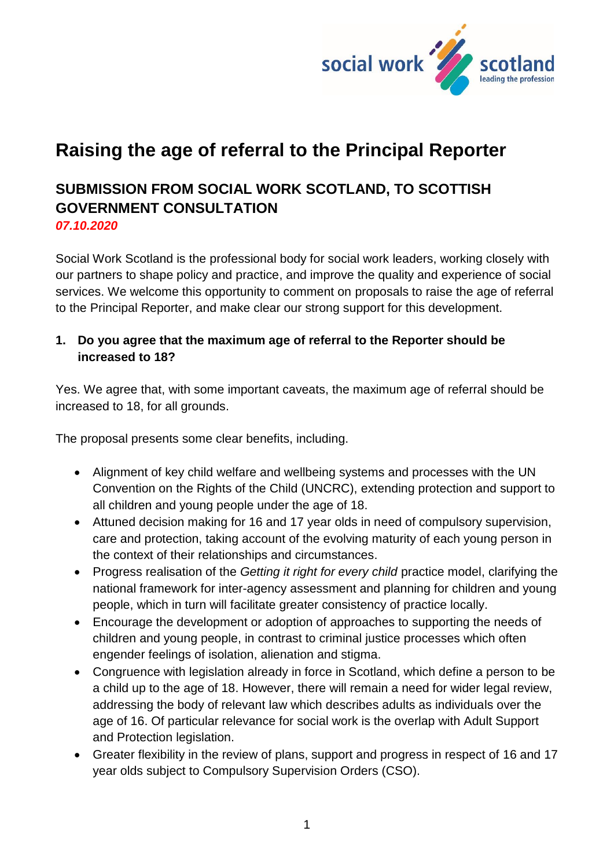

## **Raising the age of referral to the Principal Reporter**

# **SUBMISSION FROM SOCIAL WORK SCOTLAND, TO SCOTTISH GOVERNMENT CONSULTATION**

*07.10.2020*

Social Work Scotland is the professional body for social work leaders, working closely with our partners to shape policy and practice, and improve the quality and experience of social services. We welcome this opportunity to comment on proposals to raise the age of referral to the Principal Reporter, and make clear our strong support for this development.

#### **1. Do you agree that the maximum age of referral to the Reporter should be increased to 18?**

Yes. We agree that, with some important caveats, the maximum age of referral should be increased to 18, for all grounds.

The proposal presents some clear benefits, including.

- Alignment of key child welfare and wellbeing systems and processes with the UN Convention on the Rights of the Child (UNCRC), extending protection and support to all children and young people under the age of 18.
- Attuned decision making for 16 and 17 year olds in need of compulsory supervision, care and protection, taking account of the evolving maturity of each young person in the context of their relationships and circumstances.
- Progress realisation of the *Getting it right for every child* practice model, clarifying the national framework for inter-agency assessment and planning for children and young people, which in turn will facilitate greater consistency of practice locally.
- Encourage the development or adoption of approaches to supporting the needs of children and young people, in contrast to criminal justice processes which often engender feelings of isolation, alienation and stigma.
- Congruence with legislation already in force in Scotland, which define a person to be a child up to the age of 18. However, there will remain a need for wider legal review, addressing the body of relevant law which describes adults as individuals over the age of 16. Of particular relevance for social work is the overlap with Adult Support and Protection legislation.
- Greater flexibility in the review of plans, support and progress in respect of 16 and 17 year olds subject to Compulsory Supervision Orders (CSO).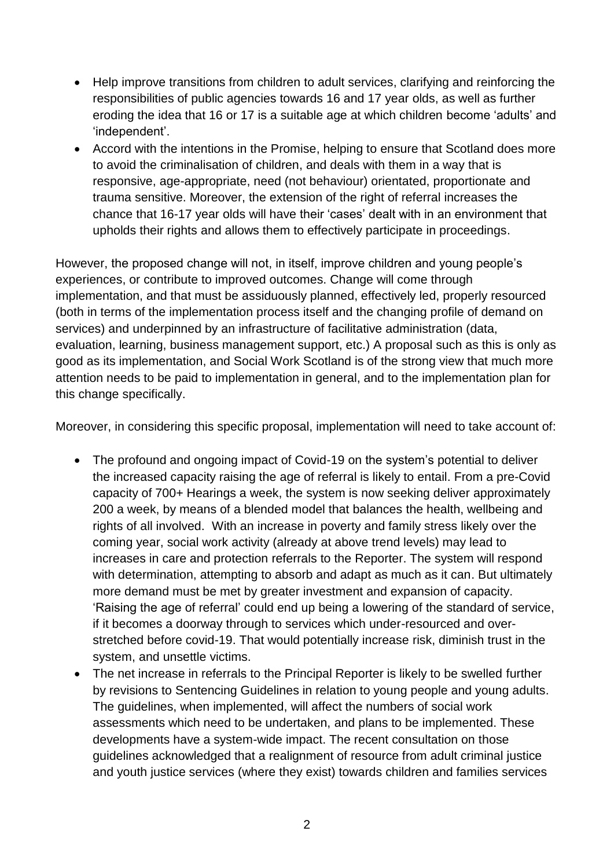- Help improve transitions from children to adult services, clarifying and reinforcing the responsibilities of public agencies towards 16 and 17 year olds, as well as further eroding the idea that 16 or 17 is a suitable age at which children become 'adults' and 'independent'.
- Accord with the intentions in the Promise, helping to ensure that Scotland does more to avoid the criminalisation of children, and deals with them in a way that is responsive, age-appropriate, need (not behaviour) orientated, proportionate and trauma sensitive. Moreover, the extension of the right of referral increases the chance that 16-17 year olds will have their 'cases' dealt with in an environment that upholds their rights and allows them to effectively participate in proceedings.

However, the proposed change will not, in itself, improve children and young people's experiences, or contribute to improved outcomes. Change will come through implementation, and that must be assiduously planned, effectively led, properly resourced (both in terms of the implementation process itself and the changing profile of demand on services) and underpinned by an infrastructure of facilitative administration (data, evaluation, learning, business management support, etc.) A proposal such as this is only as good as its implementation, and Social Work Scotland is of the strong view that much more attention needs to be paid to implementation in general, and to the implementation plan for this change specifically.

Moreover, in considering this specific proposal, implementation will need to take account of:

- The profound and ongoing impact of Covid-19 on the system's potential to deliver the increased capacity raising the age of referral is likely to entail. From a pre-Covid capacity of 700+ Hearings a week, the system is now seeking deliver approximately 200 a week, by means of a blended model that balances the health, wellbeing and rights of all involved. With an increase in poverty and family stress likely over the coming year, social work activity (already at above trend levels) may lead to increases in care and protection referrals to the Reporter. The system will respond with determination, attempting to absorb and adapt as much as it can. But ultimately more demand must be met by greater investment and expansion of capacity. 'Raising the age of referral' could end up being a lowering of the standard of service, if it becomes a doorway through to services which under-resourced and overstretched before covid-19. That would potentially increase risk, diminish trust in the system, and unsettle victims.
- The net increase in referrals to the Principal Reporter is likely to be swelled further by revisions to Sentencing Guidelines in relation to young people and young adults. The guidelines, when implemented, will affect the numbers of social work assessments which need to be undertaken, and plans to be implemented. These developments have a system-wide impact. The recent consultation on those guidelines acknowledged that a realignment of resource from adult criminal justice and youth justice services (where they exist) towards children and families services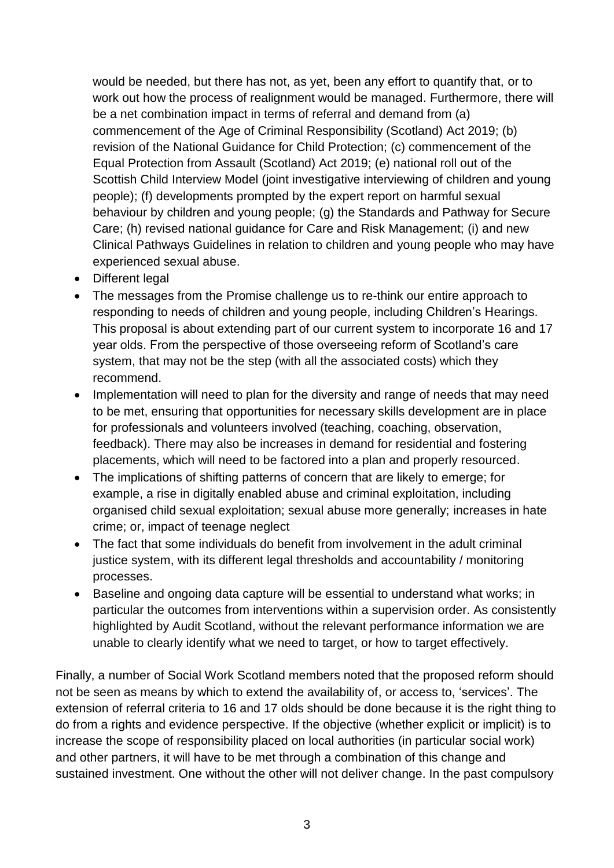would be needed, but there has not, as yet, been any effort to quantify that, or to work out how the process of realignment would be managed. Furthermore, there will be a net combination impact in terms of referral and demand from (a) commencement of the Age of Criminal Responsibility (Scotland) Act 2019; (b) revision of the National Guidance for Child Protection; (c) commencement of the Equal Protection from Assault (Scotland) Act 2019; (e) national roll out of the Scottish Child Interview Model (joint investigative interviewing of children and young people); (f) developments prompted by the expert report on harmful sexual behaviour by children and young people; (g) the Standards and Pathway for Secure Care; (h) revised national guidance for Care and Risk Management; (i) and new Clinical Pathways Guidelines in relation to children and young people who may have experienced sexual abuse.

- Different legal
- The messages from the Promise challenge us to re-think our entire approach to responding to needs of children and young people, including Children's Hearings. This proposal is about extending part of our current system to incorporate 16 and 17 year olds. From the perspective of those overseeing reform of Scotland's care system, that may not be the step (with all the associated costs) which they recommend.
- Implementation will need to plan for the diversity and range of needs that may need to be met, ensuring that opportunities for necessary skills development are in place for professionals and volunteers involved (teaching, coaching, observation, feedback). There may also be increases in demand for residential and fostering placements, which will need to be factored into a plan and properly resourced.
- The implications of shifting patterns of concern that are likely to emerge; for example, a rise in digitally enabled abuse and criminal exploitation, including organised child sexual exploitation; sexual abuse more generally; increases in hate crime; or, impact of teenage neglect
- The fact that some individuals do benefit from involvement in the adult criminal justice system, with its different legal thresholds and accountability / monitoring processes.
- Baseline and ongoing data capture will be essential to understand what works; in particular the outcomes from interventions within a supervision order. As consistently highlighted by Audit Scotland, without the relevant performance information we are unable to clearly identify what we need to target, or how to target effectively.

Finally, a number of Social Work Scotland members noted that the proposed reform should not be seen as means by which to extend the availability of, or access to, 'services'. The extension of referral criteria to 16 and 17 olds should be done because it is the right thing to do from a rights and evidence perspective. If the objective (whether explicit or implicit) is to increase the scope of responsibility placed on local authorities (in particular social work) and other partners, it will have to be met through a combination of this change and sustained investment. One without the other will not deliver change. In the past compulsory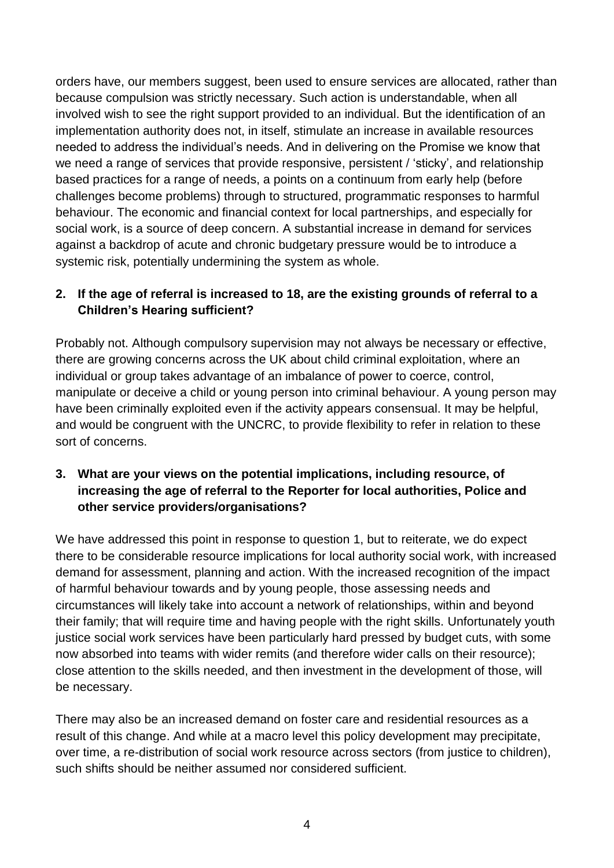orders have, our members suggest, been used to ensure services are allocated, rather than because compulsion was strictly necessary. Such action is understandable, when all involved wish to see the right support provided to an individual. But the identification of an implementation authority does not, in itself, stimulate an increase in available resources needed to address the individual's needs. And in delivering on the Promise we know that we need a range of services that provide responsive, persistent / 'sticky', and relationship based practices for a range of needs, a points on a continuum from early help (before challenges become problems) through to structured, programmatic responses to harmful behaviour. The economic and financial context for local partnerships, and especially for social work, is a source of deep concern. A substantial increase in demand for services against a backdrop of acute and chronic budgetary pressure would be to introduce a systemic risk, potentially undermining the system as whole.

### **2. If the age of referral is increased to 18, are the existing grounds of referral to a Children's Hearing sufficient?**

Probably not. Although compulsory supervision may not always be necessary or effective, there are growing concerns across the UK about child criminal exploitation, where an individual or group takes advantage of an imbalance of power to coerce, control, manipulate or deceive a child or young person into criminal behaviour. A young person may have been criminally exploited even if the activity appears consensual. It may be helpful, and would be congruent with the UNCRC, to provide flexibility to refer in relation to these sort of concerns.

#### **3. What are your views on the potential implications, including resource, of increasing the age of referral to the Reporter for local authorities, Police and other service providers/organisations?**

We have addressed this point in response to question 1, but to reiterate, we do expect there to be considerable resource implications for local authority social work, with increased demand for assessment, planning and action. With the increased recognition of the impact of harmful behaviour towards and by young people, those assessing needs and circumstances will likely take into account a network of relationships, within and beyond their family; that will require time and having people with the right skills. Unfortunately youth justice social work services have been particularly hard pressed by budget cuts, with some now absorbed into teams with wider remits (and therefore wider calls on their resource); close attention to the skills needed, and then investment in the development of those, will be necessary.

There may also be an increased demand on foster care and residential resources as a result of this change. And while at a macro level this policy development may precipitate, over time, a re-distribution of social work resource across sectors (from justice to children), such shifts should be neither assumed nor considered sufficient.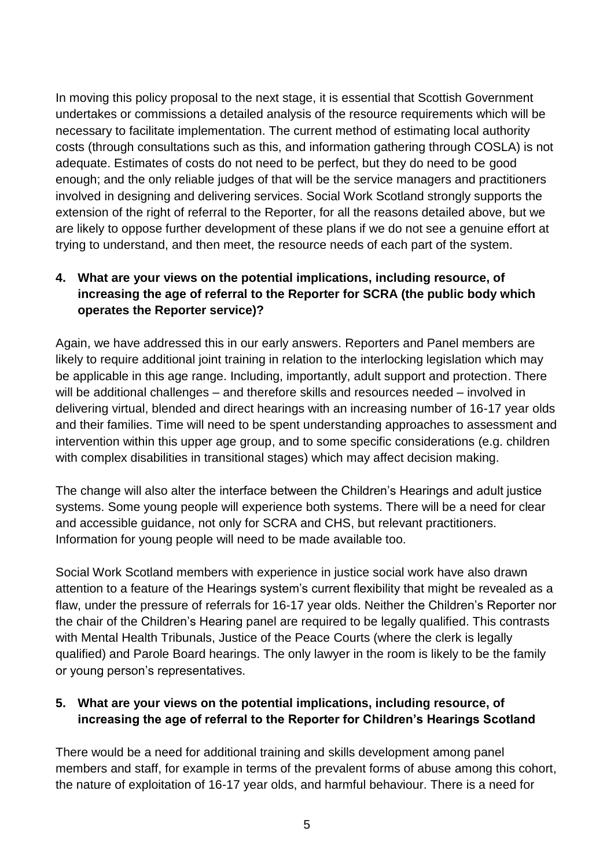In moving this policy proposal to the next stage, it is essential that Scottish Government undertakes or commissions a detailed analysis of the resource requirements which will be necessary to facilitate implementation. The current method of estimating local authority costs (through consultations such as this, and information gathering through COSLA) is not adequate. Estimates of costs do not need to be perfect, but they do need to be good enough; and the only reliable judges of that will be the service managers and practitioners involved in designing and delivering services. Social Work Scotland strongly supports the extension of the right of referral to the Reporter, for all the reasons detailed above, but we are likely to oppose further development of these plans if we do not see a genuine effort at trying to understand, and then meet, the resource needs of each part of the system.

### **4. What are your views on the potential implications, including resource, of increasing the age of referral to the Reporter for SCRA (the public body which operates the Reporter service)?**

Again, we have addressed this in our early answers. Reporters and Panel members are likely to require additional joint training in relation to the interlocking legislation which may be applicable in this age range. Including, importantly, adult support and protection. There will be additional challenges – and therefore skills and resources needed – involved in delivering virtual, blended and direct hearings with an increasing number of 16-17 year olds and their families. Time will need to be spent understanding approaches to assessment and intervention within this upper age group, and to some specific considerations (e.g. children with complex disabilities in transitional stages) which may affect decision making.

The change will also alter the interface between the Children's Hearings and adult justice systems. Some young people will experience both systems. There will be a need for clear and accessible guidance, not only for SCRA and CHS, but relevant practitioners. Information for young people will need to be made available too.

Social Work Scotland members with experience in justice social work have also drawn attention to a feature of the Hearings system's current flexibility that might be revealed as a flaw, under the pressure of referrals for 16-17 year olds. Neither the Children's Reporter nor the chair of the Children's Hearing panel are required to be legally qualified. This contrasts with Mental Health Tribunals, Justice of the Peace Courts (where the clerk is legally qualified) and Parole Board hearings. The only lawyer in the room is likely to be the family or young person's representatives.

#### **5. What are your views on the potential implications, including resource, of increasing the age of referral to the Reporter for Children's Hearings Scotland**

There would be a need for additional training and skills development among panel members and staff, for example in terms of the prevalent forms of abuse among this cohort, the nature of exploitation of 16-17 year olds, and harmful behaviour. There is a need for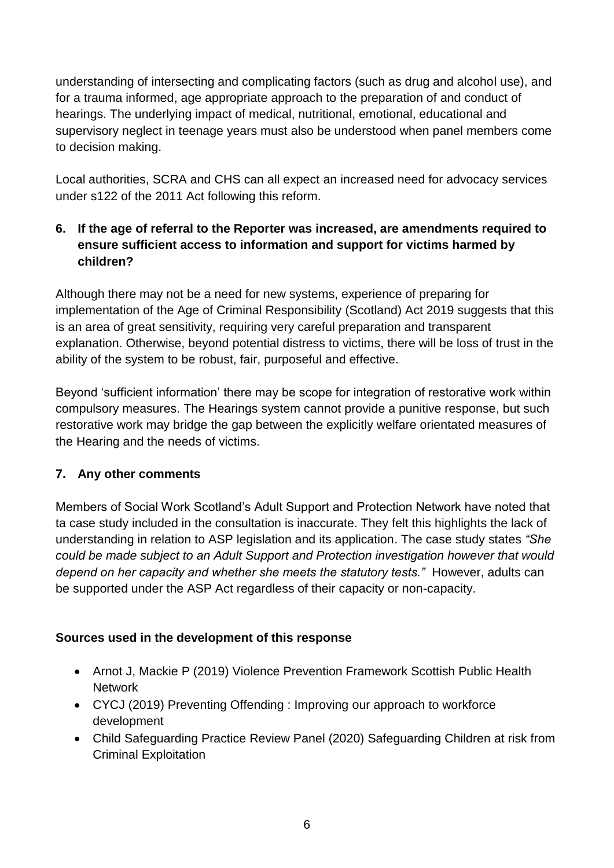understanding of intersecting and complicating factors (such as drug and alcohol use), and for a trauma informed, age appropriate approach to the preparation of and conduct of hearings. The underlying impact of medical, nutritional, emotional, educational and supervisory neglect in teenage years must also be understood when panel members come to decision making.

Local authorities, SCRA and CHS can all expect an increased need for advocacy services under s122 of the 2011 Act following this reform.

## **6. If the age of referral to the Reporter was increased, are amendments required to ensure sufficient access to information and support for victims harmed by children?**

Although there may not be a need for new systems, experience of preparing for implementation of the Age of Criminal Responsibility (Scotland) Act 2019 suggests that this is an area of great sensitivity, requiring very careful preparation and transparent explanation. Otherwise, beyond potential distress to victims, there will be loss of trust in the ability of the system to be robust, fair, purposeful and effective.

Beyond 'sufficient information' there may be scope for integration of restorative work within compulsory measures. The Hearings system cannot provide a punitive response, but such restorative work may bridge the gap between the explicitly welfare orientated measures of the Hearing and the needs of victims.

#### **7. Any other comments**

Members of Social Work Scotland's Adult Support and Protection Network have noted that ta case study included in the consultation is inaccurate. They felt this highlights the lack of understanding in relation to ASP legislation and its application. The case study states *"She could be made subject to an Adult Support and Protection investigation however that would depend on her capacity and whether she meets the statutory tests."* However, adults can be supported under the ASP Act regardless of their capacity or non-capacity.

#### **Sources used in the development of this response**

- Arnot J, Mackie P (2019) Violence Prevention Framework Scottish Public Health **Network**
- CYCJ (2019) Preventing Offending : Improving our approach to workforce development
- Child Safeguarding Practice Review Panel (2020) Safeguarding Children at risk from Criminal Exploitation